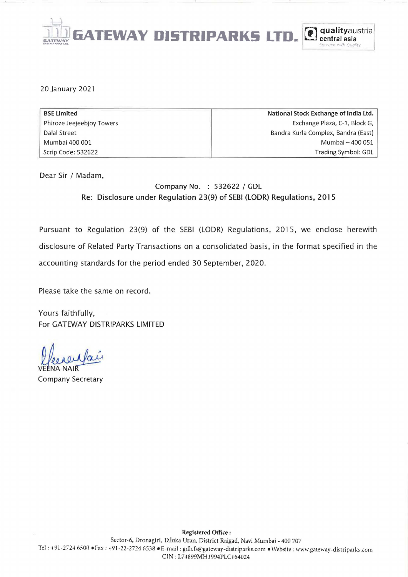

#### 20 January 2021

| <b>BSE Limited</b>        | National Stock Exchange of India Ltd. |
|---------------------------|---------------------------------------|
| Phiroze Jeejeebjoy Towers | Exchange Plaza, C-1, Block G,         |
| Dalal Street              | Bandra Kurla Complex, Bandra (East)   |
| Mumbai 400 001            | Mumbai - 400 051                      |
| Scrip Code: 532622        | Trading Symbol: GDL                   |

Dear Sir / Madam,

# Company No. : 532622 / GDL Re: Disclosure under Regulation 23(9) of SEBI (LODR) Regulations, 2015

Pursuant to Regulation 23(9) of the SEBI (LODR) Regulations, 2015, we enclose herewith disclosure of Related Party Transactions on a consolidated basis, in the format specified in the accounting standards for the period ended 30 September, 2020.

Please take the same on record.

Yours faithfully, For GATEWAY DISTRIPARKS LIMITED

Plecaculair<br>VEENA NAIR<br>Company Secretary